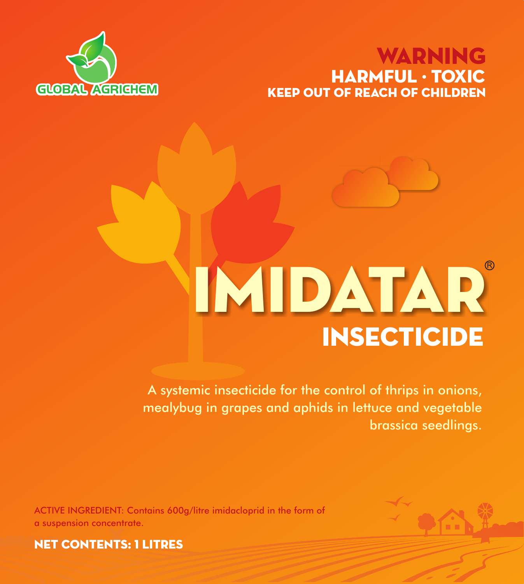# KEEP OUT OF REACH OF CHILDREN WARNING HARMFUL · TOXIC



# INSECTICIDE IMIDATAR

A systemic insecticide for the control of thrips in onions, mealybug in grapes and aphids in lettuce and vegetable brassica seedlings.

ACTIVE INGREDIENT: Contains 600g/litre imidacloprid in the form of a suspension concentrate.



NET CONTENTS: 1 litres